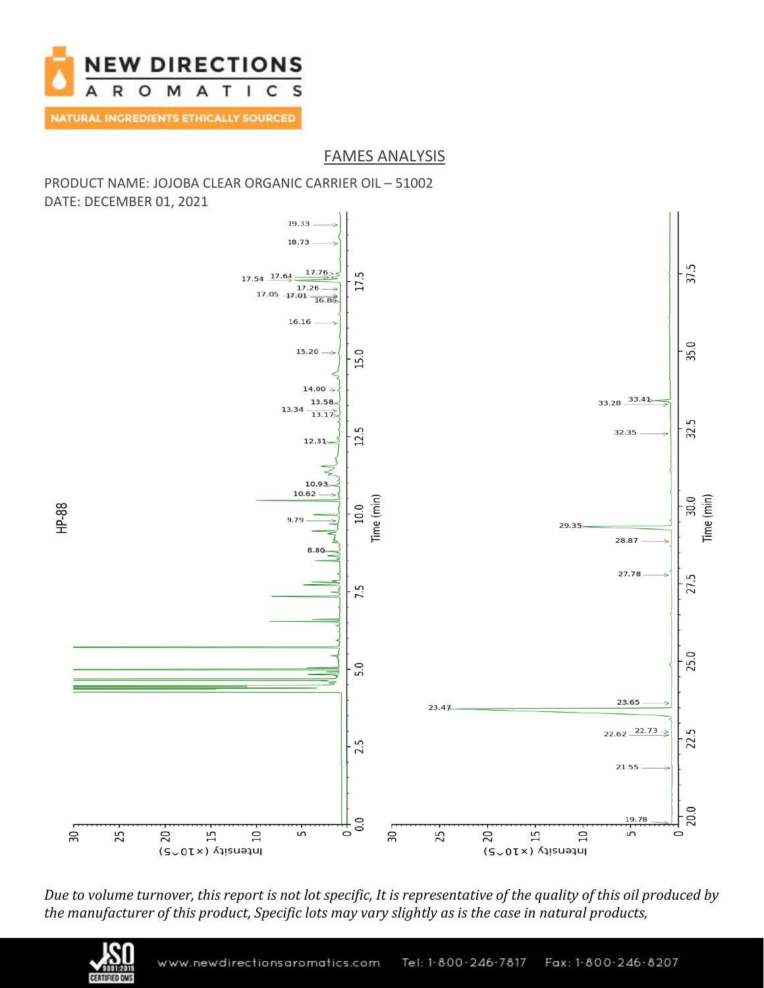

### FAMES ANALYSIS

### PRODUCT NAME: JOJOBA CLEAR ORGANIC CARRIER OIL – 51002 DATE: DECEMBER 01, 2021



*Due to volume turnover, this report is not lot specific, It is representative of the quality of this oil produced by the manufacturer of this product, Specific lots may vary slightly as is the case in natural products,*

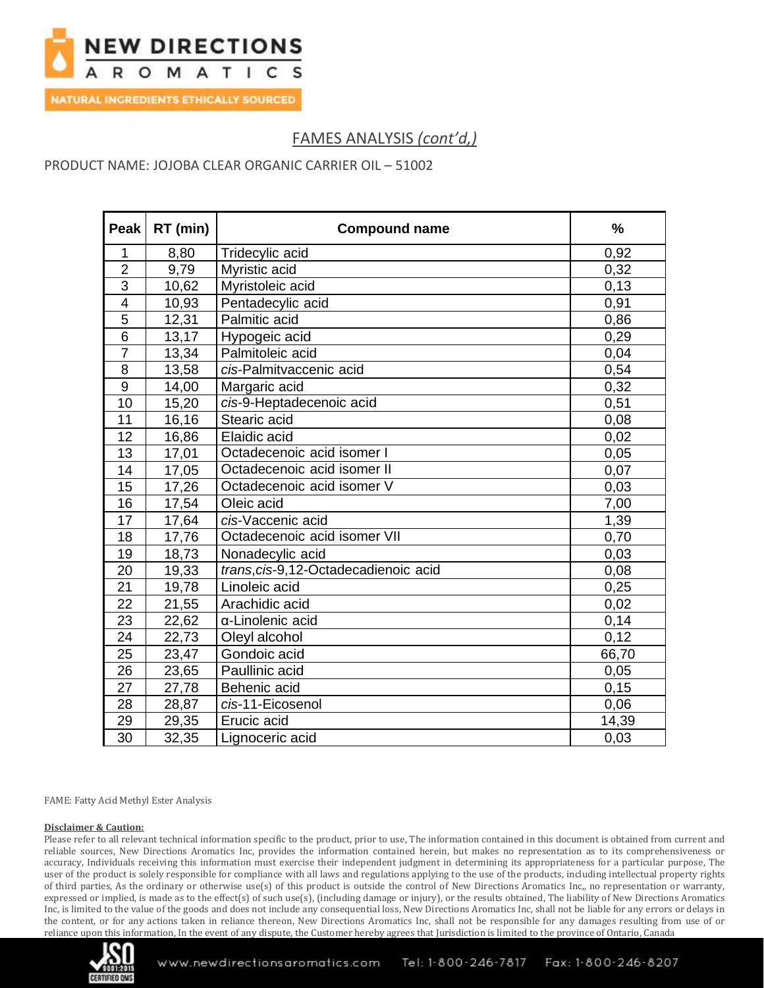

**NATURAL INGREDIENTS ETHICALLY SOURCED** 

# FAMES ANALYSIS *(cont'd,)*

PRODUCT NAME: JOJOBA CLEAR ORGANIC CARRIER OIL – 51002

| Peak                    | RT (min) | <b>Compound name</b>                  | $\frac{9}{6}$ |
|-------------------------|----------|---------------------------------------|---------------|
| 1                       | 8,80     | Tridecylic acid                       | 0,92          |
| $\overline{2}$          | 9,79     | Myristic acid                         | 0,32          |
| $\overline{3}$          | 10,62    | Myristoleic acid                      | 0,13          |
| $\overline{\mathbf{4}}$ | 10,93    | Pentadecylic acid                     | 0,91          |
| $\overline{5}$          | 12,31    | Palmitic acid                         | 0,86          |
| $\overline{6}$          | 13,17    | Hypogeic acid                         | 0,29          |
| $\overline{7}$          | 13,34    | Palmitoleic acid                      | 0,04          |
| 8                       | 13,58    | cis-Palmitvaccenic acid               | 0,54          |
| 9                       | 14,00    | Margaric acid                         | 0,32          |
| 10                      | 15,20    | cis-9-Heptadecenoic acid              | 0,51          |
| 11                      | 16,16    | Stearic acid                          | 0,08          |
| 12                      | 16,86    | Elaidic acid                          | 0,02          |
| 13                      | 17,01    | Octadecenoic acid isomer I            | 0,05          |
| 14                      | 17,05    | Octadecenoic acid isomer II           | 0,07          |
| $\overline{15}$         | 17,26    | Octadecenoic acid isomer V            | 0,03          |
| 16                      | 17,54    | Oleic acid                            | 7,00          |
| 17                      | 17,64    | cis-Vaccenic acid                     | 1,39          |
| 18                      | 17,76    | Octadecenoic acid isomer VII          | 0,70          |
| 19                      | 18,73    | Nonadecylic acid                      | 0,03          |
| 20                      | 19,33    | trans, cis-9, 12-Octadecadienoic acid | 0,08          |
| 21                      | 19,78    | Linoleic acid                         | 0,25          |
| $\overline{22}$         | 21,55    | Arachidic acid                        | 0,02          |
| 23                      | 22,62    | α-Linolenic acid                      | 0,14          |
| 24                      | 22,73    | Oleyl alcohol                         | 0,12          |
| 25                      | 23,47    | Gondoic acid                          | 66,70         |
| 26                      | 23,65    | Paullinic acid                        | 0,05          |
| 27                      | 27,78    | Behenic acid                          | 0,15          |
| 28                      | 28,87    | cis-11-Eicosenol                      | 0,06          |
| 29                      | 29,35    | Erucic acid                           | 14,39         |
| $\overline{30}$         | 32,35    | Lignoceric acid                       | 0,03          |

FAME: Fatty Acid Methyl Ester Analysis

#### **Disclaimer & Caution:**

Please refer to all relevant technical information specific to the product, prior to use, The information contained in this document is obtained from current and reliable sources, New Directions Aromatics Inc, provides the information contained herein, but makes no representation as to its comprehensiveness or accuracy, Individuals receiving this information must exercise their independent judgment in determining its appropriateness for a particular purpose, The user of the product is solely responsible for compliance with all laws and regulations applying to the use of the products, including intellectual property rights of third parties, As the ordinary or otherwise use(s) of this product is outside the control of New Directions Aromatics Inc,, no representation or warranty, expressed or implied, is made as to the effect(s) of such use(s), (including damage or injury), or the results obtained, The liability of New Directions Aromatics Inc, is limited to the value of the goods and does not include any consequential loss, New Directions Aromatics Inc, shall not be liable for any errors or delays in the content, or for any actions taken in reliance thereon, New Directions Aromatics Inc, shall not be responsible for any damages resulting from use of or reliance upon this information, In the event of any dispute, the Customer hereby agrees that Jurisdiction is limited to the province of Ontario, Canada